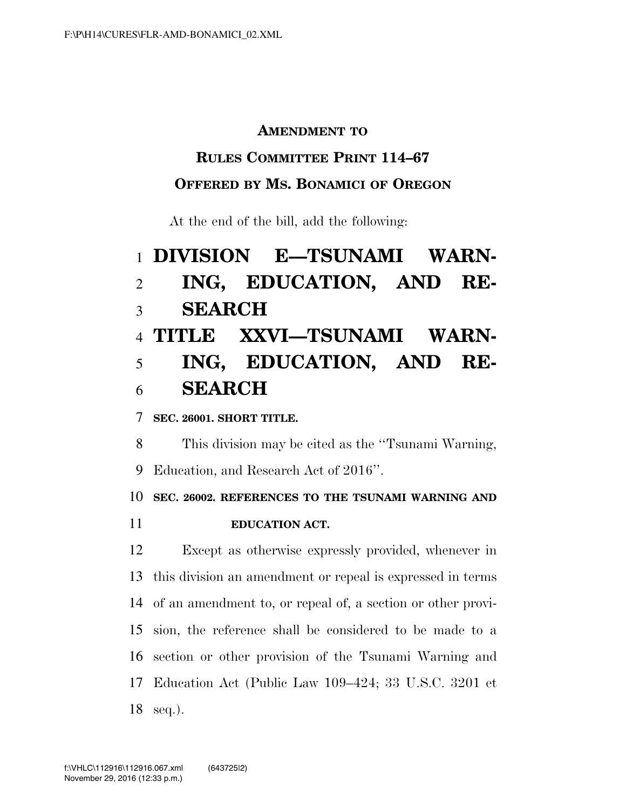### **AMENDMENT TO**

### **RULES COMMITTEE PRINT 114–67**

### **OFFERED BY MS. BONAMICI OF OREGON**

At the end of the bill, add the following:

# **DIVISION E—TSUNAMI WARN- ING, EDUCATION, AND RE- SEARCH TITLE XXVI—TSUNAMI WARN- ING, EDUCATION, AND RE-SEARCH**

### **SEC. 26001. SHORT TITLE.**

This division may be cited as the ''Tsunami Warning,

Education, and Research Act of 2016''.

**SEC. 26002. REFERENCES TO THE TSUNAMI WARNING AND** 

**EDUCATION ACT.** 

 Except as otherwise expressly provided, whenever in this division an amendment or repeal is expressed in terms of an amendment to, or repeal of, a section or other provi- sion, the reference shall be considered to be made to a section or other provision of the Tsunami Warning and Education Act (Public Law 109–424; 33 U.S.C. 3201 et seq.).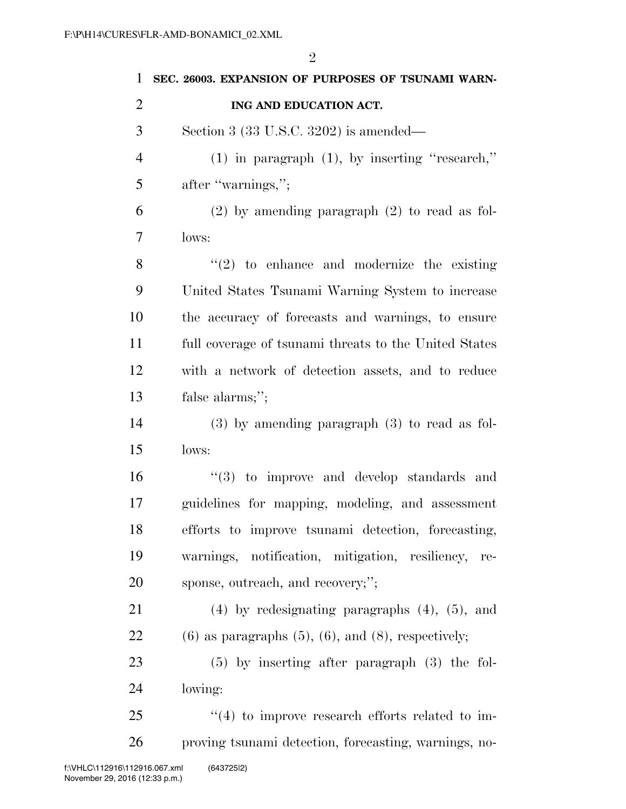| $\mathbf{1}$   | SEC. 26003. EXPANSION OF PURPOSES OF TSUNAMI WARN-            |
|----------------|---------------------------------------------------------------|
| $\overline{2}$ | ING AND EDUCATION ACT.                                        |
| 3              | Section 3 $(33 \text{ U.S.C. } 3202)$ is amended—             |
| $\overline{4}$ | $(1)$ in paragraph $(1)$ , by inserting "research,"           |
| 5              | after "warnings,";                                            |
| 6              | $(2)$ by amending paragraph $(2)$ to read as fol-             |
| 7              | lows:                                                         |
| 8              | $\lq(2)$ to enhance and modernize the existing                |
| 9              | United States Tsunami Warning System to increase              |
| 10             | the accuracy of forecasts and warnings, to ensure             |
| 11             | full coverage of tsunami threats to the United States         |
| 12             | with a network of detection assets, and to reduce             |
| 13             | false alarms;";                                               |
| 14             | $(3)$ by amending paragraph $(3)$ to read as fol-             |
| 15             | lows:                                                         |
| 16             | $\cdot$ (3) to improve and develop standards and              |
| 17             | guidelines for mapping, modeling, and assessment              |
| 18             | efforts to improve tsunami detection, forecasting,            |
| 19             | warnings, notification, mitigation, resiliency,<br>re-        |
| 20             | sponse, outreach, and recovery;";                             |
| 21             | $(4)$ by redesignating paragraphs $(4)$ , $(5)$ , and         |
| 22             | $(6)$ as paragraphs $(5)$ , $(6)$ , and $(8)$ , respectively; |
| 23             | $(5)$ by inserting after paragraph $(3)$ the fol-             |
| 24             | lowing:                                                       |
| 25             | $\cdot$ (4) to improve research efforts related to im-        |
| 26             | proving tsunami detection, forecasting, warnings, no-         |
|                |                                                               |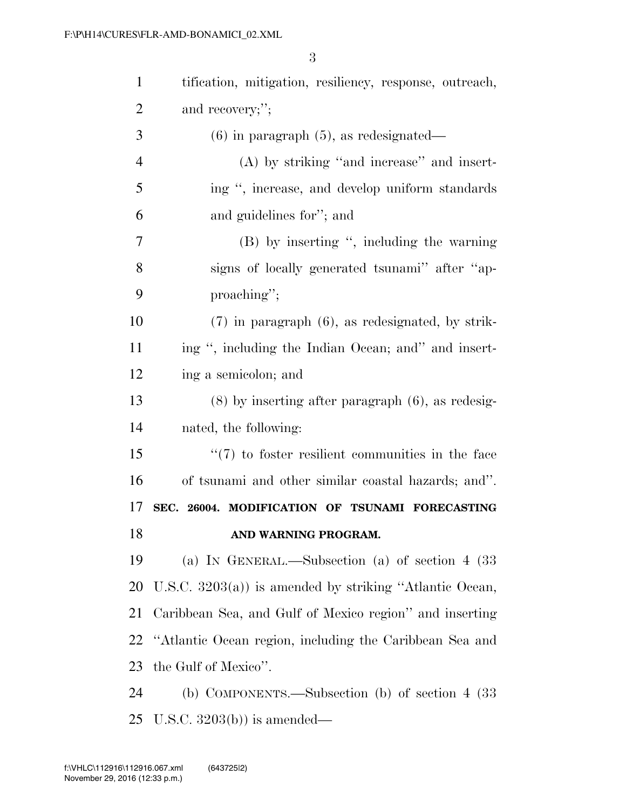| $\mathbf{1}$   | tification, mitigation, resiliency, response, outreach,    |
|----------------|------------------------------------------------------------|
| $\overline{2}$ | and recovery;";                                            |
| 3              | $(6)$ in paragraph $(5)$ , as redesignated—                |
| $\overline{4}$ | $(A)$ by striking "and increase" and insert-               |
| 5              | ing ", increase, and develop uniform standards             |
| 6              | and guidelines for"; and                                   |
| 7              | (B) by inserting ", including the warning                  |
| 8              | signs of locally generated tsunami" after "ap-             |
| 9              | proaching";                                                |
| 10             | $(7)$ in paragraph $(6)$ , as redesignated, by strik-      |
| 11             | ing ", including the Indian Ocean; and" and insert-        |
| 12             | ing a semicolon; and                                       |
| 13             | $(8)$ by inserting after paragraph $(6)$ , as redesig-     |
| 14             | nated, the following:                                      |
| 15             | $\lq(7)$ to foster resilient communities in the face       |
| 16             | of tsunami and other similar coastal hazards; and".        |
| 17             | SEC. 26004. MODIFICATION OF TSUNAMI FORECASTING            |
| 18             | AND WARNING PROGRAM.                                       |
| 19             | (a) IN GENERAL.—Subsection (a) of section $4 \text{ (33)}$ |
| <b>20</b>      | U.S.C. $3203(a)$ is amended by striking "Atlantic Ocean,   |
| 21             | Caribbean Sea, and Gulf of Mexico region" and inserting    |
| 22             | "Atlantic Ocean region, including the Caribbean Sea and    |
| 23             | the Gulf of Mexico".                                       |
| 24             | (b) COMPONENTS.—Subsection (b) of section $4 \ (33)$       |
| 25             | U.S.C. $3203(b)$ is amended—                               |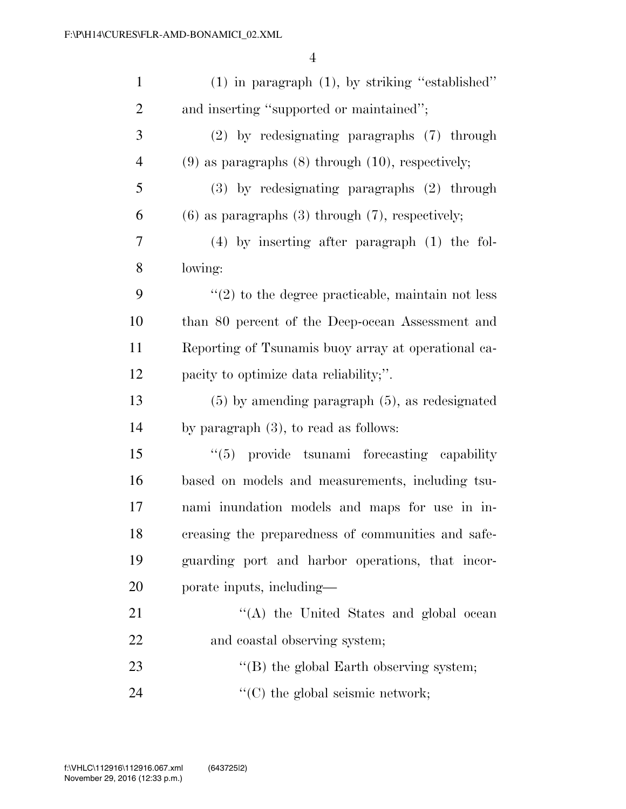| $\mathbf{1}$   | $(1)$ in paragraph $(1)$ , by striking "established"     |
|----------------|----------------------------------------------------------|
| $\overline{2}$ | and inserting "supported or maintained";                 |
| 3              | $(2)$ by redesignating paragraphs $(7)$ through          |
| $\overline{4}$ | $(9)$ as paragraphs $(8)$ through $(10)$ , respectively; |
| 5              | (3) by redesignating paragraphs (2) through              |
| 6              | $(6)$ as paragraphs $(3)$ through $(7)$ , respectively;  |
| 7              | $(4)$ by inserting after paragraph $(1)$ the fol-        |
| 8              | lowing:                                                  |
| 9              | $\lq(2)$ to the degree practicable, maintain not less    |
| 10             | than 80 percent of the Deep-ocean Assessment and         |
| 11             | Reporting of Tsunamis buoy array at operational ca-      |
| 12             | pacity to optimize data reliability;".                   |
| 13             | $(5)$ by amending paragraph $(5)$ , as redesignated      |
| 14             | by paragraph $(3)$ , to read as follows:                 |
| 15             | "(5) provide tsunami forecasting capability              |
| 16             | based on models and measurements, including tsu-         |
| 17             | nami inundation models and maps for use in in-           |
| 18             | creasing the preparedness of communities and safe-       |
| 19             | guarding port and harbor operations, that incor-         |
| 20             | porate inputs, including—                                |
| 21             | "(A) the United States and global ocean                  |
| 22             | and coastal observing system;                            |
| 23             | $\lq\lq$ the global Earth observing system;              |
| 24             | $\lq\lq$ (C) the global seismic network;                 |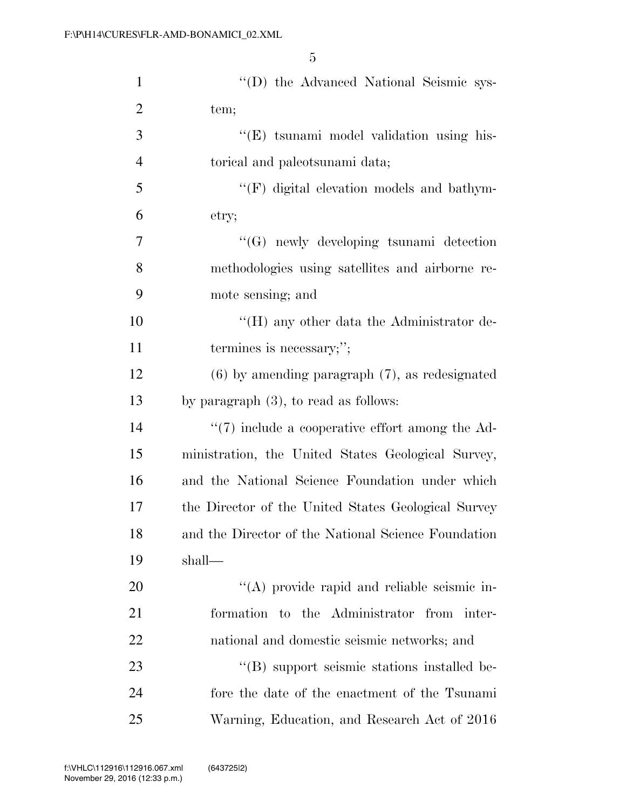| $\mathbf{1}$   | "(D) the Advanced National Seismic sys-             |
|----------------|-----------------------------------------------------|
| $\overline{2}$ | tem;                                                |
| 3              | "(E) tsunami model validation using his-            |
| $\overline{4}$ | torical and paleotsunami data;                      |
| 5              | "(F) digital elevation models and bathym-           |
| 6              | etry;                                               |
| 7              | $\lq\lq (G)$ newly developing tsunami detection     |
| 8              | methodologies using satellites and airborne re-     |
| 9              | mote sensing; and                                   |
| 10             | "(H) any other data the Administrator de-           |
| 11             | termines is necessary;";                            |
| 12             | $(6)$ by amending paragraph $(7)$ , as redesignated |
| 13             | by paragraph $(3)$ , to read as follows:            |
| 14             | $\lq(7)$ include a cooperative effort among the Ad- |
| 15             | ministration, the United States Geological Survey,  |
| 16             | and the National Science Foundation under which     |
| 17             | the Director of the United States Geological Survey |
| 18             | and the Director of the National Science Foundation |
| 19             | shall—                                              |
| 20             | "(A) provide rapid and reliable seismic in-         |
| 21             | formation to the Administrator from inter-          |
| 22             | national and domestic seismic networks; and         |
| 23             | "(B) support seismic stations installed be-         |
| 24             | fore the date of the enactment of the Tsunami       |
| 25             | Warning, Education, and Research Act of 2016        |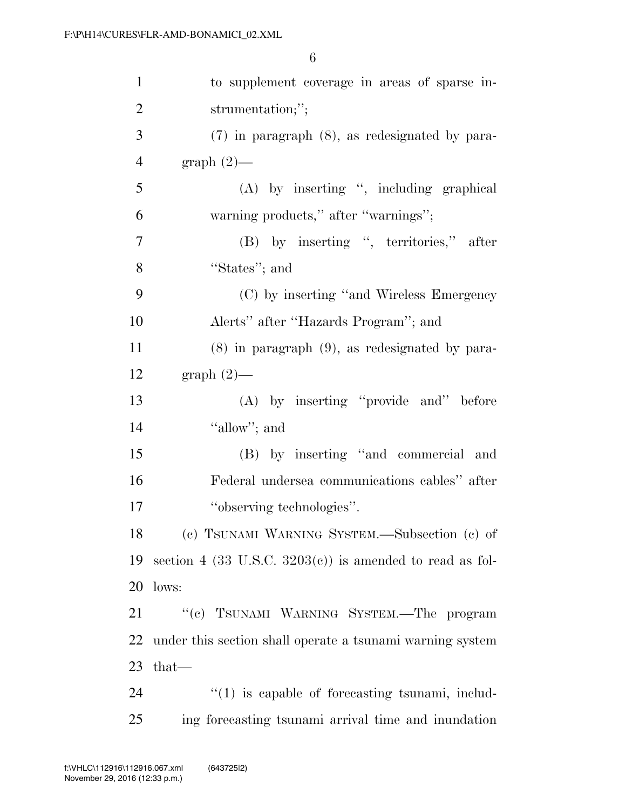| $\mathbf{1}$   | to supplement coverage in areas of sparse in-               |
|----------------|-------------------------------------------------------------|
| $\overline{2}$ | strumentation;";                                            |
| 3              | $(7)$ in paragraph $(8)$ , as redesignated by para-         |
| $\overline{4}$ | $graph(2)$ —                                                |
| 5              | (A) by inserting ", including graphical                     |
| 6              | warning products," after "warnings";                        |
| $\tau$         | (B) by inserting ", territories," after                     |
| 8              | "States"; and                                               |
| 9              | (C) by inserting "and Wireless Emergency                    |
| 10             | Alerts" after "Hazards Program"; and                        |
| 11             | $(8)$ in paragraph $(9)$ , as redesignated by para-         |
| 12             | graph $(2)$ —                                               |
| 13             | (A) by inserting "provide and" before                       |
| 14             | "allow"; and                                                |
| 15             | (B) by inserting "and commercial and                        |
| 16             | Federal undersea communications cables" after               |
| 17             | "observing technologies".                                   |
| 18             | (c) TSUNAMI WARNING SYSTEM.-Subsection (c) of               |
| 19             | section 4 (33 U.S.C. $3203(c)$ ) is amended to read as fol- |
| 20             | lows:                                                       |
| 21             | "(c) TSUNAMI WARNING SYSTEM.—The program                    |
| 22             | under this section shall operate a tsunami warning system   |
| 23             | that—                                                       |
| 24             | $\lq(1)$ is capable of forecasting tsunami, includ-         |
| 25             | ing forecasting tsunami arrival time and inundation         |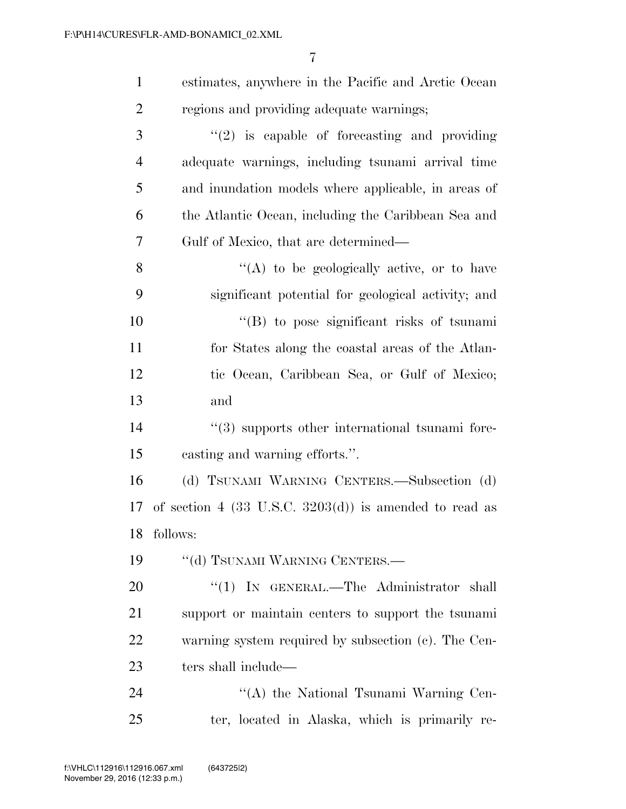| $\mathbf{1}$   | estimates, anywhere in the Pacific and Arctic Ocean    |
|----------------|--------------------------------------------------------|
| $\overline{2}$ | regions and providing adequate warnings;               |
| 3              | $\lq(2)$ is capable of forecasting and providing       |
| $\overline{4}$ | adequate warnings, including tsunami arrival time      |
| 5              | and inundation models where applicable, in areas of    |
| 6              | the Atlantic Ocean, including the Caribbean Sea and    |
| 7              | Gulf of Mexico, that are determined—                   |
| 8              | "(A) to be geologically active, or to have             |
| 9              | significant potential for geological activity; and     |
| 10             | "(B) to pose significant risks of tsunami              |
| 11             | for States along the coastal areas of the Atlan-       |
| 12             | tic Ocean, Caribbean Sea, or Gulf of Mexico;           |
| 13             | and                                                    |
| 14             | "(3) supports other international tsunami fore-        |
| 15             | casting and warning efforts.".                         |
| 16             | (d) TSUNAMI WARNING CENTERS.—Subsection (d)            |
| 17             | of section 4 (33 U.S.C. 3203(d)) is amended to read as |
|                | 18 follows:                                            |
| 19             | "(d) TSUNAMI WARNING CENTERS.-                         |
| 20             | "(1) IN GENERAL.—The Administrator shall               |
| 21             | support or maintain centers to support the tsunami     |
| 22             | warning system required by subsection (c). The Cen-    |
| 23             | ters shall include—                                    |
| 24             | "(A) the National Tsunami Warning Cen-                 |
| 25             | ter, located in Alaska, which is primarily re-         |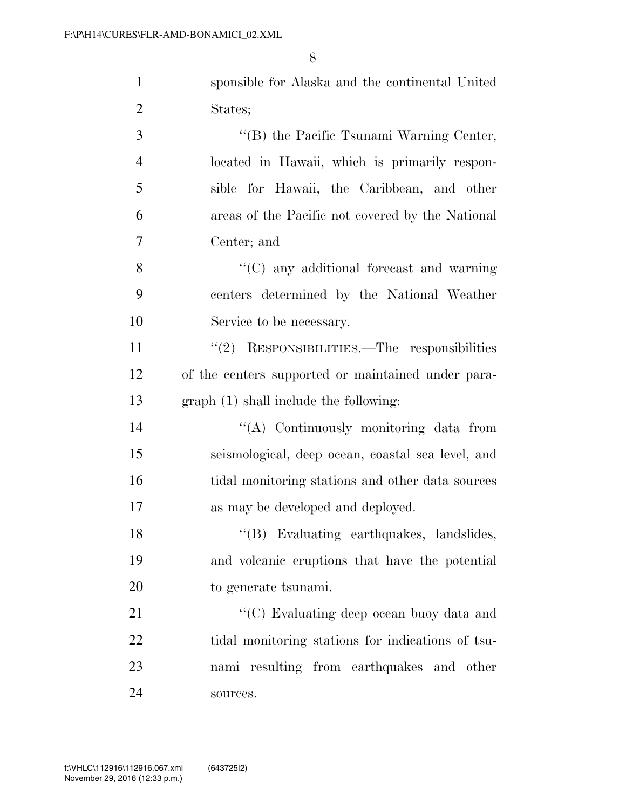| $\mathbf{1}$   | sponsible for Alaska and the continental United    |
|----------------|----------------------------------------------------|
| $\overline{2}$ | States;                                            |
| 3              | "(B) the Pacific Tsunami Warning Center,           |
| $\overline{4}$ | located in Hawaii, which is primarily respon-      |
| 5              | sible for Hawaii, the Caribbean, and other         |
| 6              | areas of the Pacific not covered by the National   |
| $\tau$         | Center; and                                        |
| 8              | $\cdot$ (C) any additional forecast and warning    |
| 9              | centers determined by the National Weather         |
| 10             | Service to be necessary.                           |
| 11             | "(2) RESPONSIBILITIES.—The responsibilities        |
| 12             | of the centers supported or maintained under para- |
| 13             | graph (1) shall include the following:             |
| 14             | "(A) Continuously monitoring data from             |
| 15             | seismological, deep ocean, coastal sea level, and  |
| 16             | tidal monitoring stations and other data sources   |
| 17             | as may be developed and deployed.                  |
| 18             | "(B) Evaluating earthquakes, landslides,           |
| 19             | and volcanic eruptions that have the potential     |
| <b>20</b>      | to generate tsunami.                               |
| 21             | "(C) Evaluating deep ocean buoy data and           |
| 22             | tidal monitoring stations for indications of tsu-  |
| 23             | nami resulting from earthquakes and other          |
| 24             | sources.                                           |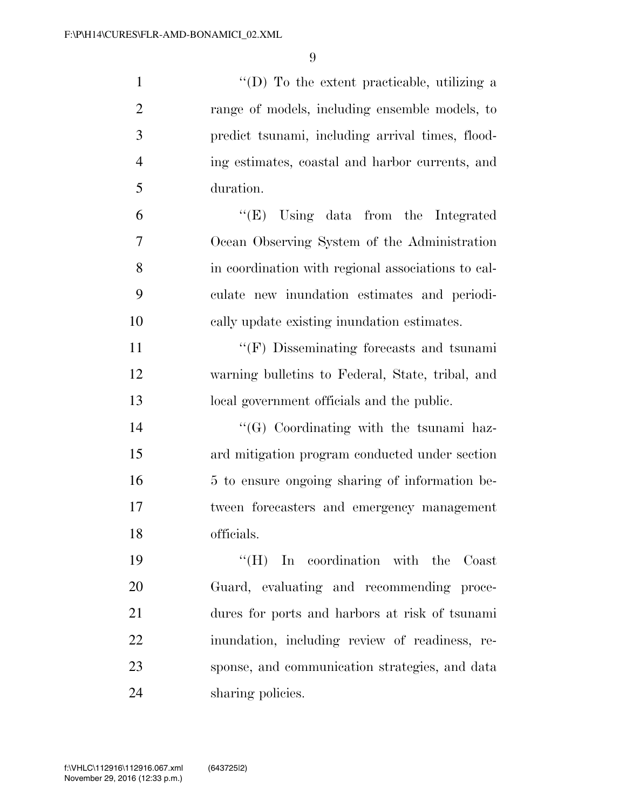$\langle (D) \rangle$  To the extent practicable, utilizing a range of models, including ensemble models, to predict tsunami, including arrival times, flood- ing estimates, coastal and harbor currents, and duration. ''(E) Using data from the Integrated Ocean Observing System of the Administration in coordination with regional associations to cal- culate new inundation estimates and periodi- cally update existing inundation estimates.  $\langle \text{``(F)} \rangle$  Disseminating forecasts and tsunami warning bulletins to Federal, State, tribal, and local government officials and the public. 14 ''(G) Coordinating with the tsunami haz- ard mitigation program conducted under section 16 5 to ensure ongoing sharing of information be- tween forecasters and emergency management officials. ''(H) In coordination with the Coast Guard, evaluating and recommending proce- dures for ports and harbors at risk of tsunami inundation, including review of readiness, re- sponse, and communication strategies, and data sharing policies.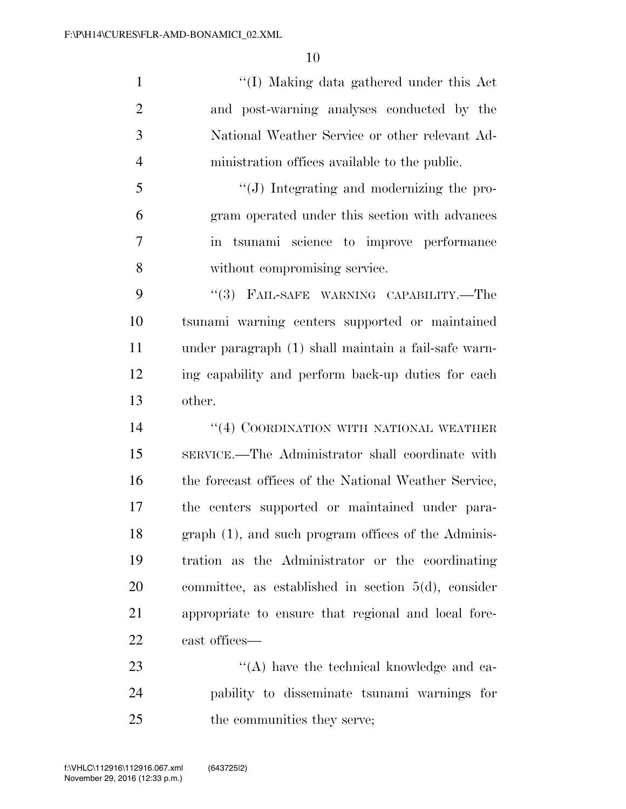''(I) Making data gathered under this Act and post-warning analyses conducted by the National Weather Service or other relevant Ad-ministration offices available to the public.

 ''(J) Integrating and modernizing the pro- gram operated under this section with advances in tsunami science to improve performance without compromising service.

9 "(3) FAIL-SAFE WARNING CAPABILITY.—The tsunami warning centers supported or maintained under paragraph (1) shall maintain a fail-safe warn- ing capability and perform back-up duties for each other.

14 ''(4) COORDINATION WITH NATIONAL WEATHER SERVICE.—The Administrator shall coordinate with 16 the forecast offices of the National Weather Service, the centers supported or maintained under para- graph (1), and such program offices of the Adminis- tration as the Administrator or the coordinating committee, as established in section 5(d), consider appropriate to ensure that regional and local fore-cast offices—

23 ''(A) have the technical knowledge and ca- pability to disseminate tsunami warnings for 25 the communities they serve;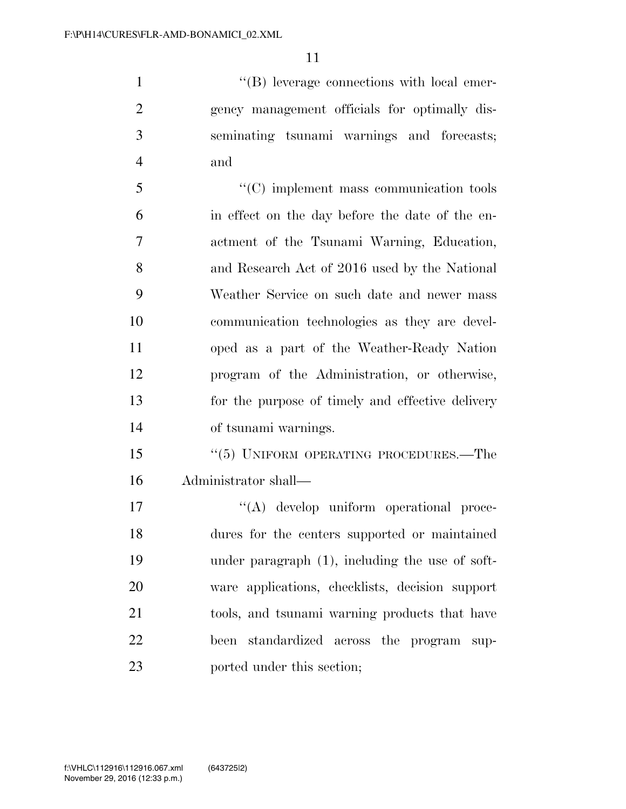$\langle$  (B) leverage connections with local emer- gency management officials for optimally dis- seminating tsunami warnings and forecasts; and

 ''(C) implement mass communication tools in effect on the day before the date of the en- actment of the Tsunami Warning, Education, and Research Act of 2016 used by the National Weather Service on such date and newer mass communication technologies as they are devel- oped as a part of the Weather-Ready Nation program of the Administration, or otherwise, for the purpose of timely and effective delivery of tsunami warnings.

 ''(5) UNIFORM OPERATING PROCEDURES.—The Administrator shall—

 $\langle (A) \rangle$  develop uniform operational proce- dures for the centers supported or maintained under paragraph (1), including the use of soft- ware applications, checklists, decision support tools, and tsunami warning products that have been standardized across the program sup-ported under this section;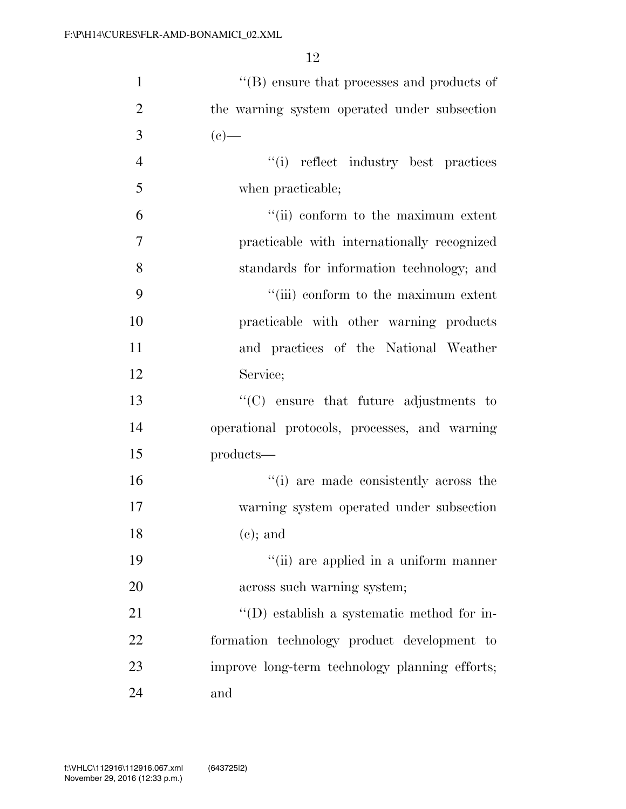| $\mathbf{1}$   | $\lq\lq$ ensure that processes and products of |
|----------------|------------------------------------------------|
| $\overline{2}$ | the warning system operated under subsection   |
| 3              | $(e)$ —                                        |
| $\overline{4}$ | "(i) reflect industry best practices           |
| 5              | when practicable;                              |
| 6              | "(ii) conform to the maximum extent            |
| $\overline{7}$ | practicable with internationally recognized    |
| 8              | standards for information technology; and      |
| 9              | "(iii) conform to the maximum extent           |
| 10             | practicable with other warning products        |
| 11             | and practices of the National Weather          |
| 12             | Service;                                       |
| 13             | $\cdot$ (C) ensure that future adjustments to  |
| 14             | operational protocols, processes, and warning  |
| 15             | products—                                      |
| 16             | "(i) are made consistently across the          |
| 17             | warning system operated under subsection       |
| 18             | $(e)$ ; and                                    |
| 19             | "(ii) are applied in a uniform manner          |
| 20             | across such warning system;                    |
| 21             | $\lq\lq$ establish a systematic method for in- |
| 22             | formation technology product development to    |
| 23             | improve long-term technology planning efforts; |
| 24             | and                                            |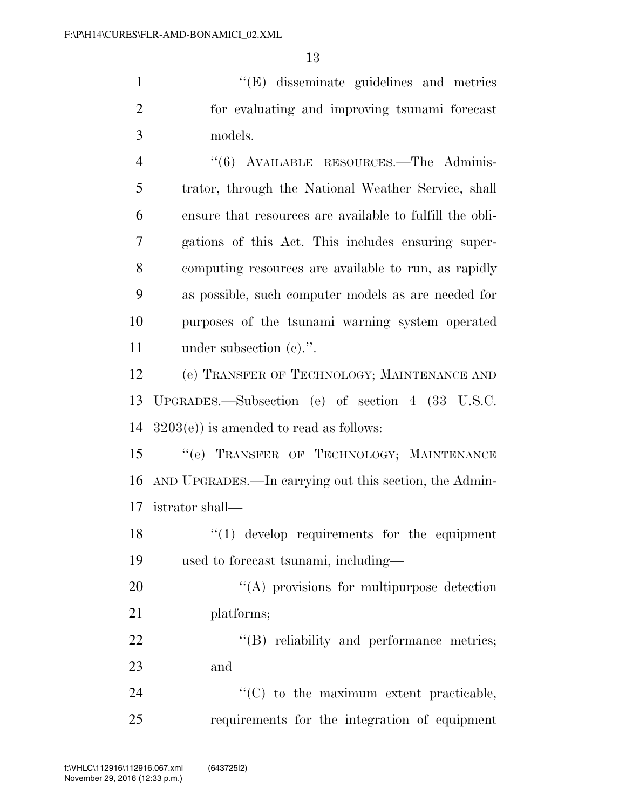''(E) disseminate guidelines and metrics for evaluating and improving tsunami forecast models.

 ''(6) AVAILABLE RESOURCES.—The Adminis- trator, through the National Weather Service, shall ensure that resources are available to fulfill the obli- gations of this Act. This includes ensuring super- computing resources are available to run, as rapidly as possible, such computer models as are needed for purposes of the tsunami warning system operated under subsection (c).''.

 (e) TRANSFER OF TECHNOLOGY; MAINTENANCE AND UPGRADES.—Subsection (e) of section 4 (33 U.S.C. 3203(e)) is amended to read as follows:

15 "(e) TRANSFER OF TECHNOLOGY; MAINTENANCE AND UPGRADES.—In carrying out this section, the Admin-istrator shall—

18 ''(1) develop requirements for the equipment used to forecast tsunami, including—

20 "(A) provisions for multipurpose detection platforms;

22 "'(B) reliability and performance metrics; and

24  $\cdot$  (C) to the maximum extent practicable, requirements for the integration of equipment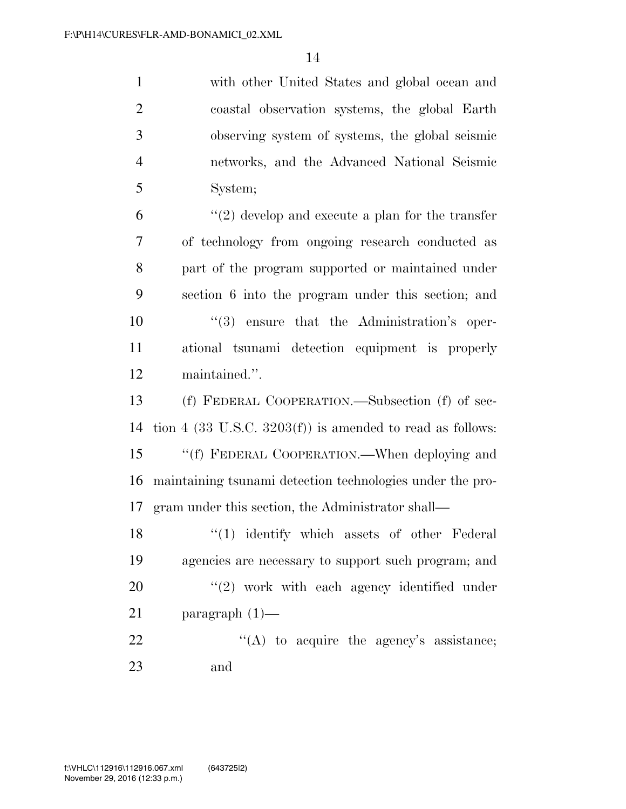|   | with other United States and global ocean and   |
|---|-------------------------------------------------|
| 2 | coastal observation systems, the global Earth   |
| 3 | observing system of systems, the global seismic |
|   | networks, and the Advanced National Seismic     |
|   | System;                                         |

 $\frac{6}{2}$  (2) develop and execute a plan for the transfer of technology from ongoing research conducted as part of the program supported or maintained under section 6 into the program under this section; and  $(3)$  ensure that the Administration's oper- ational tsunami detection equipment is properly maintained.''.

 (f) FEDERAL COOPERATION.—Subsection (f) of sec- tion 4 (33 U.S.C. 3203(f)) is amended to read as follows: 15 "(f) FEDERAL COOPERATION.—When deploying and maintaining tsunami detection technologies under the pro-gram under this section, the Administrator shall—

18 ''(1) identify which assets of other Federal agencies are necessary to support such program; and  $\frac{1}{2}$  work with each agency identified under paragraph (1)—  $"$ (A) to acquire the agency's assistance; and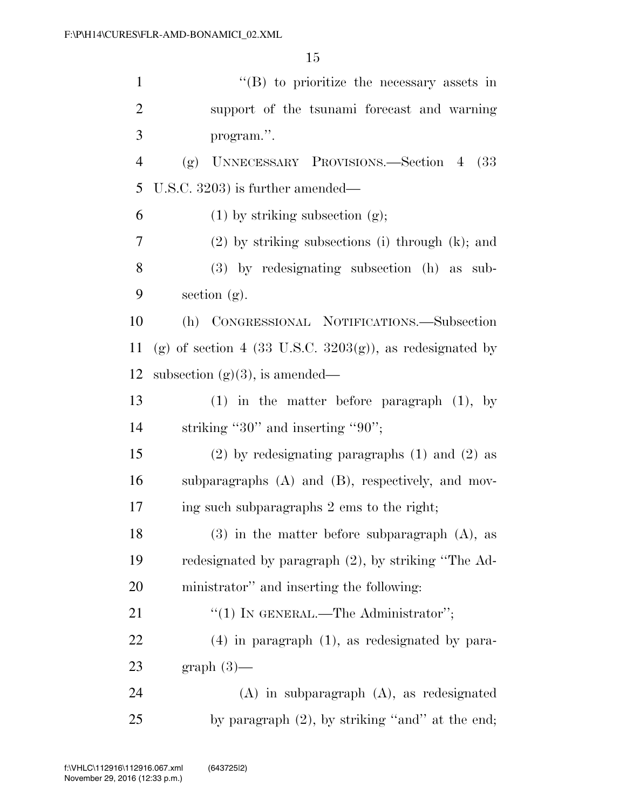| $\mathbf{1}$   | $\lq\lq$ (B) to prioritize the necessary assets in          |
|----------------|-------------------------------------------------------------|
| $\overline{2}$ | support of the tsunami forecast and warning                 |
| 3              | program.".                                                  |
| $\overline{4}$ | UNNECESSARY PROVISIONS.—Section 4 (33)<br>(g)               |
| 5              | U.S.C. 3203) is further amended—                            |
| 6              | $(1)$ by striking subsection $(g)$ ;                        |
| 7              | $(2)$ by striking subsections (i) through $(k)$ ; and       |
| 8              | $(3)$ by redesignating subsection $(h)$ as sub-             |
| 9              | section $(g)$ .                                             |
| 10             | (h) CONGRESSIONAL NOTIFICATIONS.-Subsection                 |
| 11             | (g) of section 4 (33 U.S.C. $3203(g)$ ), as redesignated by |
| 12             | subsection $(g)(3)$ , is amended—                           |
| 13             | $(1)$ in the matter before paragraph $(1)$ , by             |
| 14             | striking "30" and inserting "90";                           |
| 15             | $(2)$ by redesignating paragraphs $(1)$ and $(2)$ as        |
| 16             | subparagraphs $(A)$ and $(B)$ , respectively, and mov-      |
| 17             | ing such subparagraphs 2 ems to the right;                  |
| 18             | $(3)$ in the matter before subparagraph $(A)$ , as          |
| 19             | redesignated by paragraph (2), by striking "The Ad-         |
| 20             | ministrator" and inserting the following:                   |
| 21             | "(1) IN GENERAL.—The Administrator";                        |
| 22             | $(4)$ in paragraph $(1)$ , as redesignated by para-         |
| 23             | $graph(3)$ —                                                |
| 24             | $(A)$ in subparagraph $(A)$ , as redesignated               |
| 25             | by paragraph $(2)$ , by striking "and" at the end;          |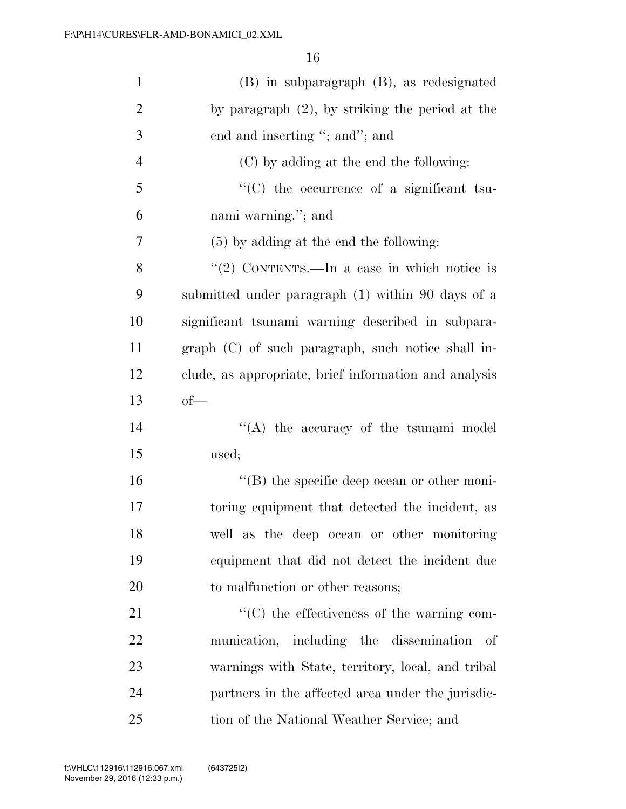| $\mathbf{1}$   | (B) in subparagraph (B), as redesignated               |
|----------------|--------------------------------------------------------|
| $\overline{2}$ | by paragraph $(2)$ , by striking the period at the     |
| 3              | end and inserting "; and"; and                         |
| $\overline{4}$ | (C) by adding at the end the following:                |
| 5              | "(C) the occurrence of a significant tsu-              |
| 6              | nami warning."; and                                    |
| 7              | $(5)$ by adding at the end the following:              |
| 8              | "(2) CONTENTS.—In a case in which notice is            |
| 9              | submitted under paragraph (1) within 90 days of a      |
| 10             | significant tsunami warning described in subpara-      |
| 11             | graph (C) of such paragraph, such notice shall in-     |
| 12             | clude, as appropriate, brief information and analysis  |
| 13             | $of$ —                                                 |
| 14             | $\lq\lq$ the accuracy of the tsunami model             |
| 15             | used;                                                  |
| 16             | $\lq\lq$ the specific deep ocean or other moni-        |
| 17             | toring equipment that detected the incident, as        |
| 18             | well as the deep ocean or other monitoring             |
| 19             | equipment that did not detect the incident due         |
| 20             | to malfunction or other reasons;                       |
| 21             | $\cdot\cdot$ (C) the effectiveness of the warning com- |
| 22             | munication, including the dissemination<br>- of        |
| 23             | warnings with State, territory, local, and tribal      |
| 24             | partners in the affected area under the jurisdic-      |
| 25             | tion of the National Weather Service; and              |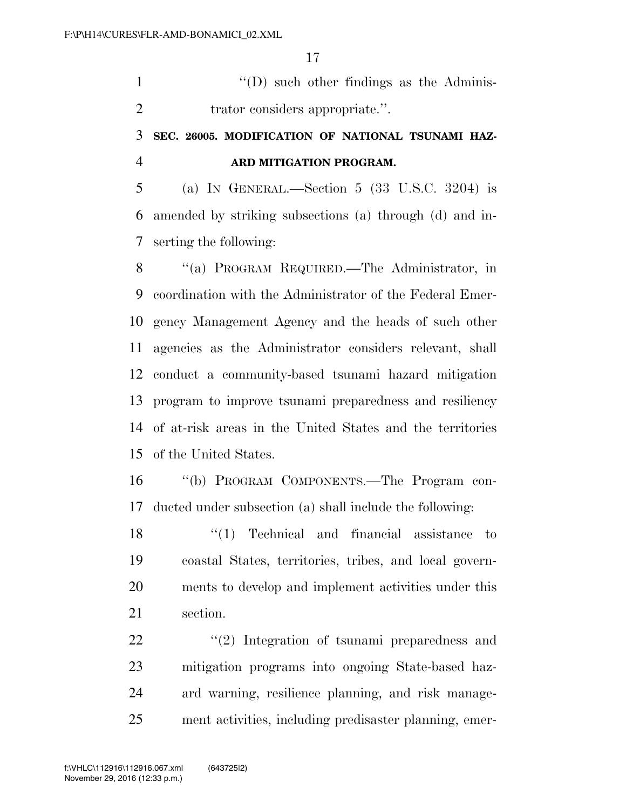''(D) such other findings as the Adminis-2 trator considers appropriate.".

## **SEC. 26005. MODIFICATION OF NATIONAL TSUNAMI HAZ-ARD MITIGATION PROGRAM.**

 (a) IN GENERAL.—Section 5 (33 U.S.C. 3204) is amended by striking subsections (a) through (d) and in-serting the following:

 ''(a) PROGRAM REQUIRED.—The Administrator, in coordination with the Administrator of the Federal Emer- gency Management Agency and the heads of such other agencies as the Administrator considers relevant, shall conduct a community-based tsunami hazard mitigation program to improve tsunami preparedness and resiliency of at-risk areas in the United States and the territories of the United States.

 ''(b) PROGRAM COMPONENTS.—The Program con-ducted under subsection (a) shall include the following:

18 ''(1) Technical and financial assistance to coastal States, territories, tribes, and local govern- ments to develop and implement activities under this section.

22 ''(2) Integration of tsunami preparedness and mitigation programs into ongoing State-based haz- ard warning, resilience planning, and risk manage-ment activities, including predisaster planning, emer-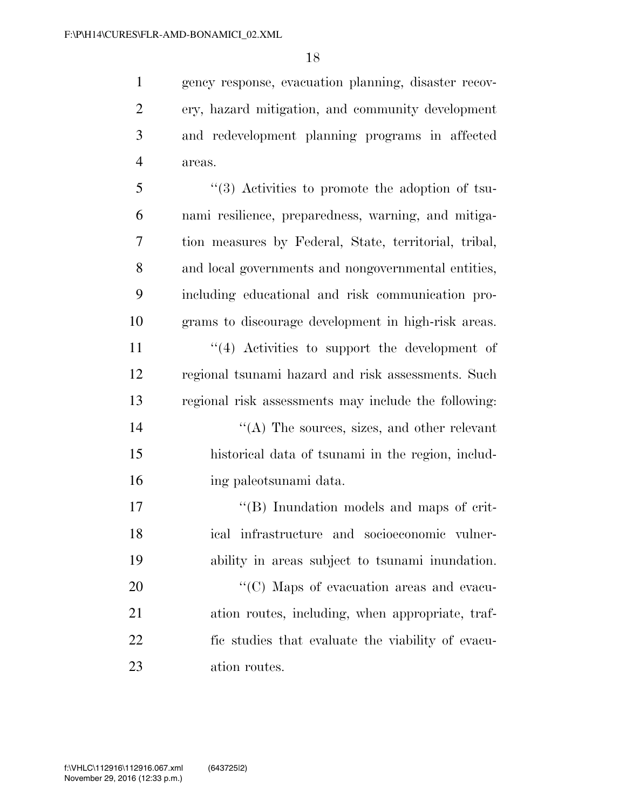gency response, evacuation planning, disaster recov- ery, hazard mitigation, and community development and redevelopment planning programs in affected areas.

 ''(3) Activities to promote the adoption of tsu- nami resilience, preparedness, warning, and mitiga- tion measures by Federal, State, territorial, tribal, and local governments and nongovernmental entities, including educational and risk communication pro-grams to discourage development in high-risk areas.

11 ''(4) Activities to support the development of regional tsunami hazard and risk assessments. Such regional risk assessments may include the following:

- 14 ''(A) The sources, sizes, and other relevant historical data of tsunami in the region, includ-ing paleotsunami data.
- 17  $\langle G \rangle$  Inundation models and maps of crit- ical infrastructure and socioeconomic vulner-ability in areas subject to tsunami inundation.

 $\cdot$  (C) Maps of evacuation areas and evacu- ation routes, including, when appropriate, traf- fic studies that evaluate the viability of evacu-ation routes.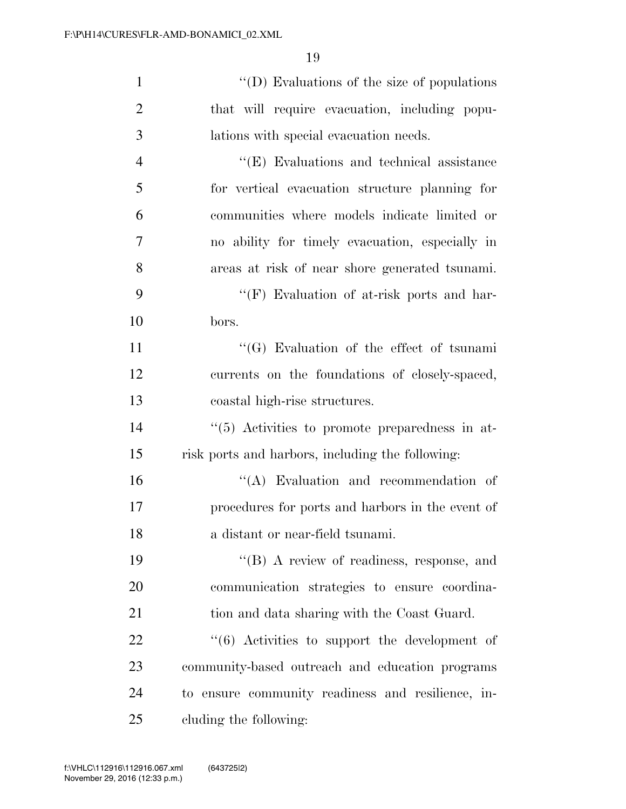| $\mathbf{1}$   | $\lq\lq$ (D) Evaluations of the size of populations  |
|----------------|------------------------------------------------------|
| $\overline{2}$ | that will require evacuation, including popu-        |
| 3              | lations with special evacuation needs.               |
| $\overline{4}$ | $\lq\lq$ (E) Evaluations and technical assistance    |
| 5              | for vertical evacuation structure planning for       |
| 6              | communities where models indicate limited or         |
| 7              | no ability for timely evacuation, especially in      |
| 8              | areas at risk of near shore generated tsunami.       |
| 9              | "(F) Evaluation of at-risk ports and har-            |
| 10             | bors.                                                |
| 11             | $\lq\lq(G)$ Evaluation of the effect of tsunami      |
| 12             | currents on the foundations of closely-spaced,       |
| 13             | coastal high-rise structures.                        |
| 14             | "(5) Activities to promote preparedness in at-       |
| 15             | risk ports and harbors, including the following:     |
| 16             | $\lq\lq$ . Evaluation and recommendation of          |
| 17             | procedures for ports and harbors in the event of     |
| 18             | a distant or near-field tsunami.                     |
| 19             | $\lq\lq(B)$ A review of readiness, response, and     |
| 20             | communication strategies to ensure coordina-         |
| 21             | tion and data sharing with the Coast Guard.          |
| 22             | $\cdot$ (6) Activities to support the development of |
| 23             | community-based outreach and education programs      |
| 24             | to ensure community readiness and resilience, in-    |
| 25             | cluding the following:                               |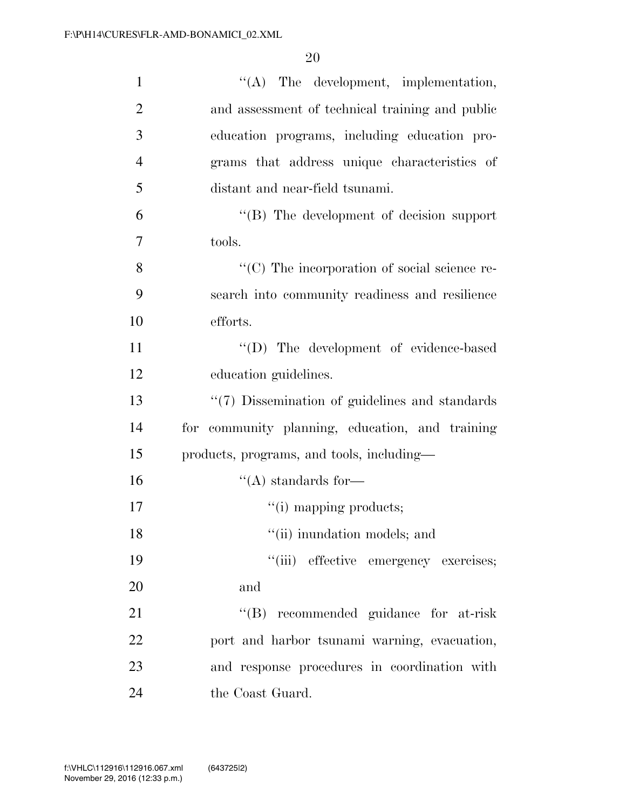| $\mathbf{1}$   | $\lq\lq$ . The development, implementation,        |
|----------------|----------------------------------------------------|
| $\overline{2}$ | and assessment of technical training and public    |
| 3              | education programs, including education pro-       |
| $\overline{4}$ | grams that address unique characteristics of       |
| 5              | distant and near-field tsunami.                    |
| 6              | "(B) The development of decision support           |
| 7              | tools.                                             |
| 8              | "(C) The incorporation of social science re-       |
| 9              | search into community readiness and resilience     |
| 10             | efforts.                                           |
| 11             | "(D) The development of evidence-based             |
| 12             | education guidelines.                              |
| 13             | $\lq(7)$ Dissemination of guidelines and standards |
| 14             | for community planning, education, and training    |
| 15             | products, programs, and tools, including—          |
| 16             | $\lq\lq$ standards for —                           |
| 17             | "(i) mapping products;                             |
| 18             | "(ii) inundation models; and                       |
| 19             | "(iii) effective emergency exercises;              |
| 20             | and                                                |
| 21             | "(B) recommended guidance for at-risk              |
| 22             | port and harbor tsunami warning, evacuation,       |
| 23             | and response procedures in coordination with       |
| 24             | the Coast Guard.                                   |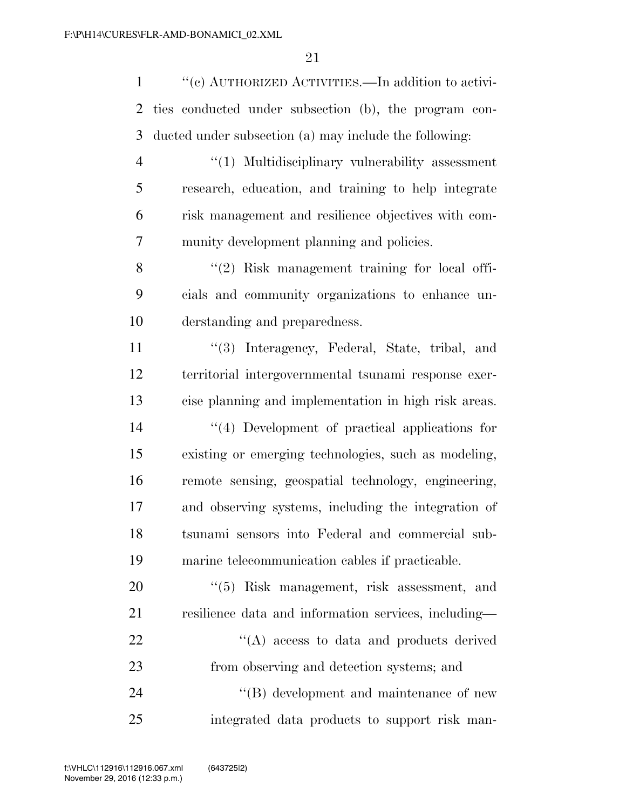| $\mathbf{1}$   | "(c) AUTHORIZED ACTIVITIES.—In addition to activi-     |
|----------------|--------------------------------------------------------|
| $\overline{2}$ | ties conducted under subsection (b), the program con-  |
| 3              | ducted under subsection (a) may include the following: |
| $\overline{4}$ | "(1) Multidisciplinary vulnerability assessment        |
| 5              | research, education, and training to help integrate    |
| 6              | risk management and resilience objectives with com-    |
| 7              | munity development planning and policies.              |
| 8              | "(2) Risk management training for local offi-          |
| 9              | cials and community organizations to enhance un-       |
| 10             | derstanding and preparedness.                          |
| 11             | "(3) Interagency, Federal, State, tribal, and          |
| 12             | territorial intergovernmental tsunami response exer-   |
| 13             | cise planning and implementation in high risk areas.   |
| 14             | "(4) Development of practical applications for         |
| 15             | existing or emerging technologies, such as modeling,   |
| 16             | remote sensing, geospatial technology, engineering,    |
| 17             | and observing systems, including the integration of    |
| 18             | tsunami sensors into Federal and commercial sub-       |
| 19             | marine telecommunication cables if practicable.        |
| 20             | $``(5)$ Risk management, risk assessment, and          |
| 21             | resilience data and information services, including—   |
| 22             | $\lq\lq$ access to data and products derived           |
| 23             | from observing and detection systems; and              |
| 24             | "(B) development and maintenance of new                |
| 25             | integrated data products to support risk man-          |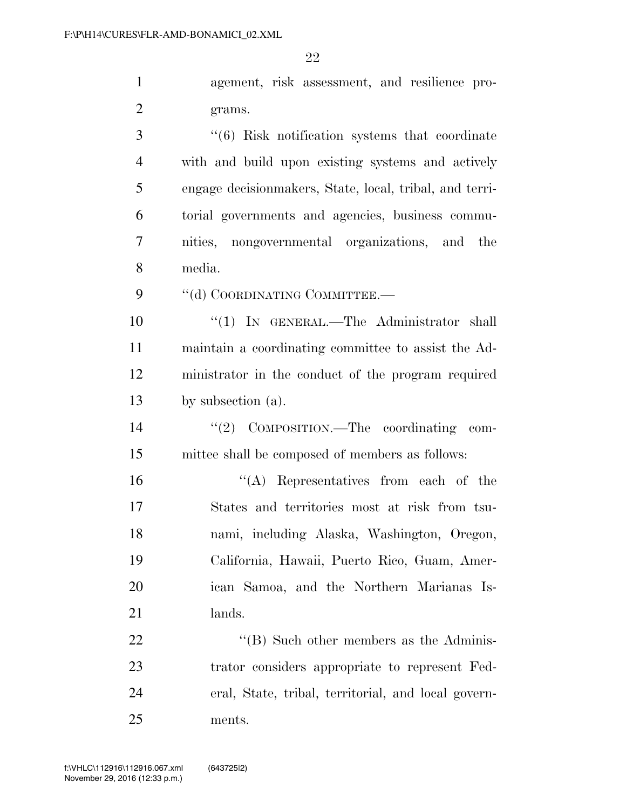agement, risk assessment, and resilience pro-grams.

 ''(6) Risk notification systems that coordinate with and build upon existing systems and actively engage decisionmakers, State, local, tribal, and terri- torial governments and agencies, business commu- nities, nongovernmental organizations, and the media.

9 "(d) COORDINATING COMMITTEE.-

 $\frac{10}{10}$  IN GENERAL.—The Administrator shall maintain a coordinating committee to assist the Ad- ministrator in the conduct of the program required by subsection (a).

14  $\frac{1}{2}$  COMPOSITION.—The coordinating com-mittee shall be composed of members as follows:

 ''(A) Representatives from each of the States and territories most at risk from tsu- nami, including Alaska, Washington, Oregon, California, Hawaii, Puerto Rico, Guam, Amer- ican Samoa, and the Northern Marianas Is-lands.

22 ''(B) Such other members as the Adminis- trator considers appropriate to represent Fed- eral, State, tribal, territorial, and local govern-ments.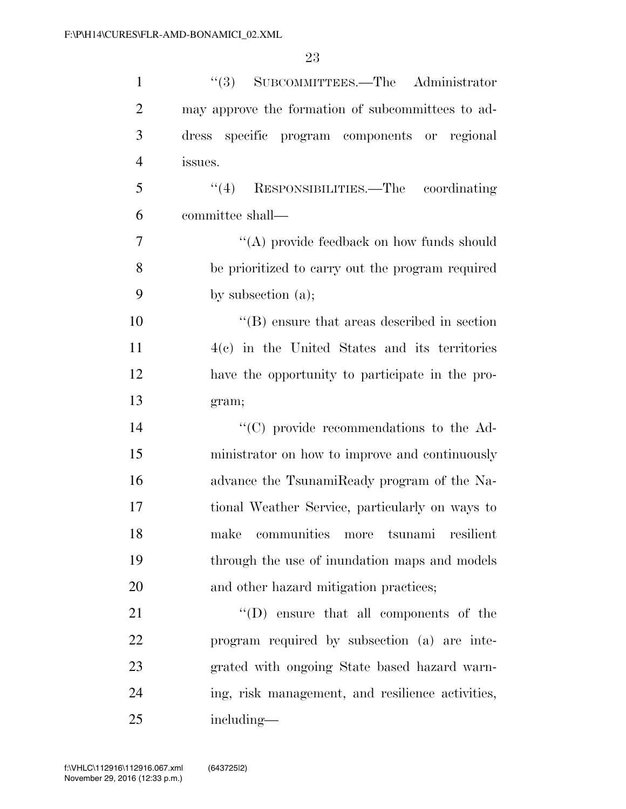| $\mathbf{1}$   | "(3) SUBCOMMITTEES.—The Administrator             |
|----------------|---------------------------------------------------|
| $\overline{2}$ | may approve the formation of subcommittees to ad- |
| 3              | dress specific program components or regional     |
| $\overline{4}$ | issues.                                           |
| 5              | "(4) RESPONSIBILITIES.—The coordinating           |
| 6              | committee shall—                                  |
| $\overline{7}$ | "(A) provide feedback on how funds should         |
| 8              | be prioritized to carry out the program required  |
| 9              | by subsection $(a)$ ;                             |
| 10             | $\lq\lq$ ensure that areas described in section   |
| 11             | $4(c)$ in the United States and its territories   |
| 12             | have the opportunity to participate in the pro-   |
| 13             | gram;                                             |
| 14             | "(C) provide recommendations to the Ad-           |
| 15             | ministrator on how to improve and continuously    |
| 16             | advance the TsunamiReady program of the Na-       |
| 17             | tional Weather Service, particularly on ways to   |
| 18             | communities more tsunami<br>resilient<br>make     |
| 19             | through the use of inundation maps and models     |
| 20             | and other hazard mitigation practices;            |
| 21             | $\lq\lq$ (D) ensure that all components of the    |
| 22             | program required by subsection (a) are inte-      |
| 23             | grated with ongoing State based hazard warn-      |
| 24             | ing, risk management, and resilience activities,  |
| 25             | including—                                        |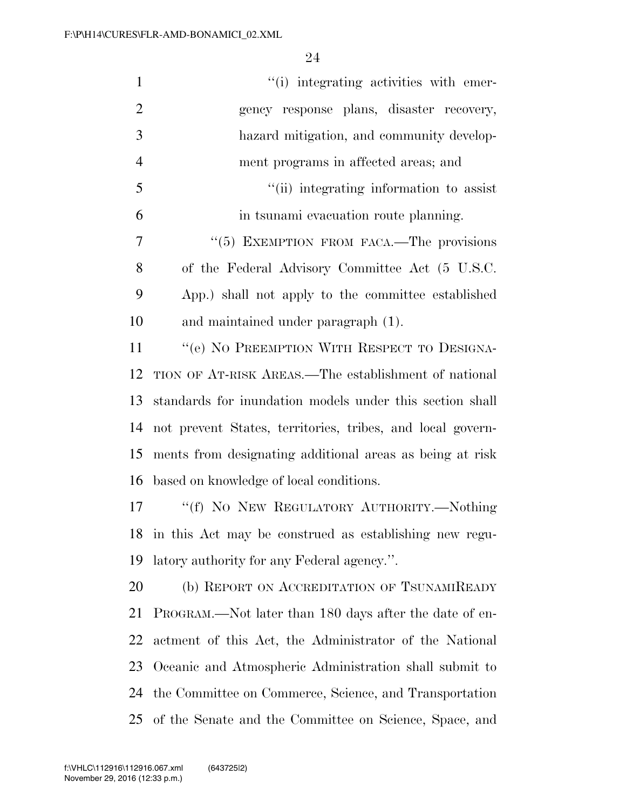| $\mathbf{1}$   | "(i) integrating activities with emer-                     |
|----------------|------------------------------------------------------------|
| $\overline{2}$ | gency response plans, disaster recovery,                   |
| 3              | hazard mitigation, and community develop-                  |
| $\overline{4}$ | ment programs in affected areas; and                       |
| 5              | "(ii) integrating information to assist                    |
| 6              | in tsunami evacuation route planning.                      |
| $\overline{7}$ | $\cdot\cdot$ (5) EXEMPTION FROM FACA.—The provisions       |
| 8              | of the Federal Advisory Committee Act (5 U.S.C.            |
| 9              | App.) shall not apply to the committee established         |
| 10             | and maintained under paragraph (1).                        |
| 11             | "(e) NO PREEMPTION WITH RESPECT TO DESIGNA-                |
| 12             | TION OF AT-RISK AREAS.—The establishment of national       |
| 13             | standards for inundation models under this section shall   |
| 14             | not prevent States, territories, tribes, and local govern- |
| 15             | ments from designating additional areas as being at risk   |
| 16             | based on knowledge of local conditions.                    |
| 17             | "(f) NO NEW REGULATORY AUTHORITY.—Nothing                  |
|                | 18 in this Act may be construed as establishing new regu-  |
| 19             | latory authority for any Federal agency.".                 |
| 20             | (b) REPORT ON ACCREDITATION OF TSUNAMIREADY                |
| 21             | PROGRAM.—Not later than 180 days after the date of en-     |
| 22             | actment of this Act, the Administrator of the National     |
| 23             | Oceanic and Atmospheric Administration shall submit to     |
| 24             | the Committee on Commerce, Science, and Transportation     |
| 25             | of the Senate and the Committee on Science, Space, and     |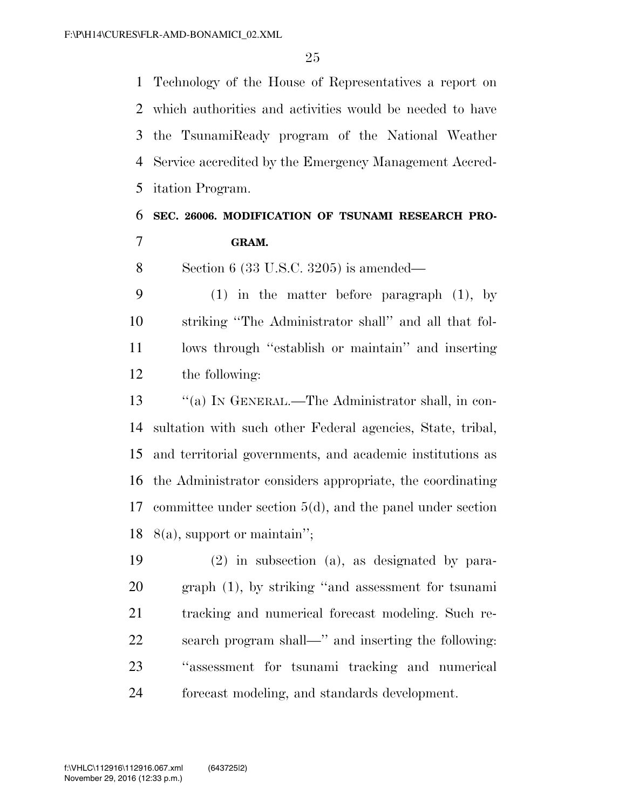Technology of the House of Representatives a report on which authorities and activities would be needed to have the TsunamiReady program of the National Weather Service accredited by the Emergency Management Accred-itation Program.

# **SEC. 26006. MODIFICATION OF TSUNAMI RESEARCH PRO-GRAM.**

Section 6 (33 U.S.C. 3205) is amended—

 (1) in the matter before paragraph (1), by striking ''The Administrator shall'' and all that fol- lows through ''establish or maintain'' and inserting the following:

 ''(a) IN GENERAL.—The Administrator shall, in con- sultation with such other Federal agencies, State, tribal, and territorial governments, and academic institutions as the Administrator considers appropriate, the coordinating committee under section 5(d), and the panel under section 8(a), support or maintain'';

 (2) in subsection (a), as designated by para- graph (1), by striking ''and assessment for tsunami tracking and numerical forecast modeling. Such re- search program shall—'' and inserting the following: ''assessment for tsunami tracking and numerical forecast modeling, and standards development.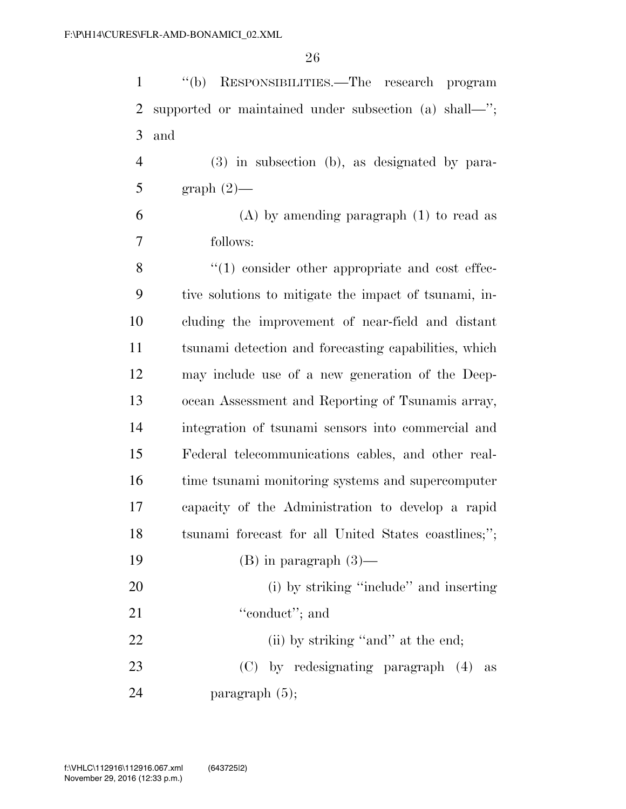''(b) RESPONSIBILITIES.—The research program supported or maintained under subsection (a) shall—''; and

 (3) in subsection (b), as designated by para-5 graph  $(2)$ —

 (A) by amending paragraph (1) to read as follows:

8 "(1) consider other appropriate and cost effec- tive solutions to mitigate the impact of tsunami, in- cluding the improvement of near-field and distant tsunami detection and forecasting capabilities, which may include use of a new generation of the Deep- ocean Assessment and Reporting of Tsunamis array, integration of tsunami sensors into commercial and Federal telecommunications cables, and other real- time tsunami monitoring systems and supercomputer capacity of the Administration to develop a rapid tsunami forecast for all United States coastlines;'';  $(B)$  in paragraph  $(3)$ — (i) by striking ''include'' and inserting 21 "
conduct"; and 22 (ii) by striking "and" at the end;

 (C) by redesignating paragraph (4) as paragraph (5);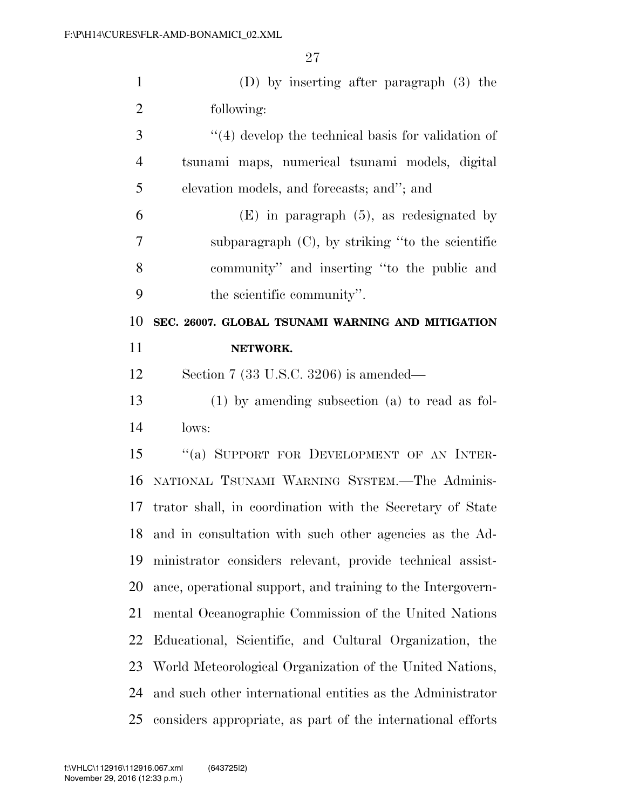| $\mathbf{1}$   | (D) by inserting after paragraph $(3)$ the                  |
|----------------|-------------------------------------------------------------|
| $\overline{2}$ | following:                                                  |
| 3              | $\lq(4)$ develop the technical basis for validation of      |
| $\overline{4}$ | tsunami maps, numerical tsunami models, digital             |
| 5              | elevation models, and forecasts; and"; and                  |
| 6              | $(E)$ in paragraph $(5)$ , as redesignated by               |
| 7              | subparagraph $(C)$ , by striking "to the scientific         |
| 8              | community" and inserting "to the public and                 |
| 9              | the scientific community".                                  |
| 10             | SEC. 26007. GLOBAL TSUNAMI WARNING AND MITIGATION           |
| 11             | NETWORK.                                                    |
| 12             | Section 7 (33 U.S.C. 3206) is amended—                      |
| 13             | $(1)$ by amending subsection $(a)$ to read as fol-          |
|                |                                                             |
| 14             | lows:                                                       |
| 15             | "(a) SUPPORT FOR DEVELOPMENT OF AN INTER-                   |
| 16             | NATIONAL TSUNAMI WARNING SYSTEM.-The Adminis-               |
| 17             | trator shall, in coordination with the Secretary of State   |
| 18             | and in consultation with such other agencies as the Ad-     |
| 19             | ministrator considers relevant, provide technical assist-   |
| 20             | ance, operational support, and training to the Intergovern- |
| 21             | mental Oceanographic Commission of the United Nations       |
| 22             | Educational, Scientific, and Cultural Organization, the     |
| 23             | World Meteorological Organization of the United Nations,    |
| 24             | and such other international entities as the Administrator  |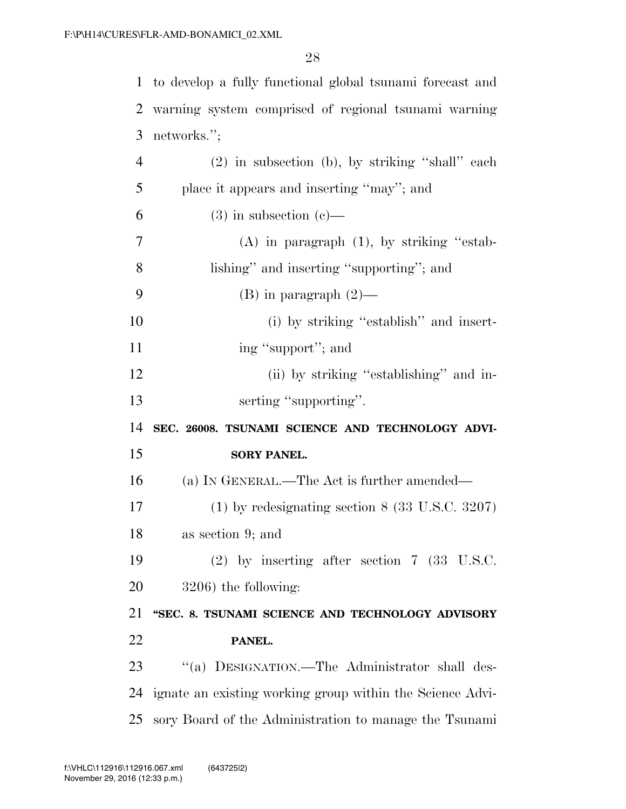to develop a fully functional global tsunami forecast and warning system comprised of regional tsunami warning networks.''; (2) in subsection (b), by striking ''shall'' each place it appears and inserting ''may''; and 6 (3) in subsection (c)— (A) in paragraph (1), by striking ''estab- lishing'' and inserting ''supporting''; and 9 (B) in paragraph  $(2)$ — 10 (i) by striking "establish" and insert-11 ing "support"; and 12 (ii) by striking "establishing" and in-13 serting "supporting". **SEC. 26008. TSUNAMI SCIENCE AND TECHNOLOGY ADVI- SORY PANEL.**  (a) IN GENERAL.—The Act is further amended— (1) by redesignating section 8 (33 U.S.C. 3207) as section 9; and (2) by inserting after section 7 (33 U.S.C. 3206) the following: **''SEC. 8. TSUNAMI SCIENCE AND TECHNOLOGY ADVISORY PANEL.**  23 "(a) DESIGNATION.—The Administrator shall des- ignate an existing working group within the Science Advi-sory Board of the Administration to manage the Tsunami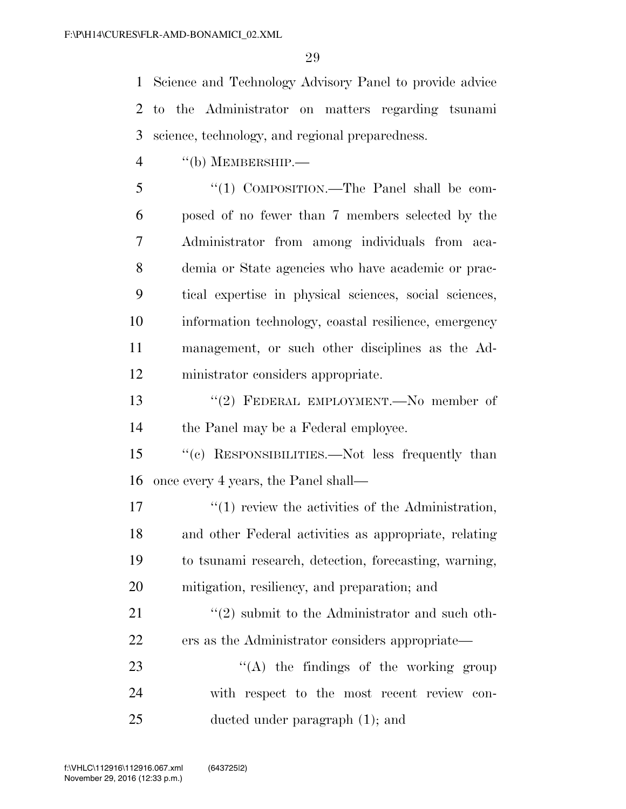Science and Technology Advisory Panel to provide advice to the Administrator on matters regarding tsunami science, technology, and regional preparedness.

''(b) MEMBERSHIP.—

 ''(1) COMPOSITION.—The Panel shall be com- posed of no fewer than 7 members selected by the Administrator from among individuals from aca- demia or State agencies who have academic or prac- tical expertise in physical sciences, social sciences, information technology, coastal resilience, emergency management, or such other disciplines as the Ad-ministrator considers appropriate.

 ''(2) FEDERAL EMPLOYMENT.—No member of the Panel may be a Federal employee.

 ''(c) RESPONSIBILITIES.—Not less frequently than once every 4 years, the Panel shall—

 $\mathcal{L}(1)$  review the activities of the Administration, and other Federal activities as appropriate, relating to tsunami research, detection, forecasting, warning, mitigation, resiliency, and preparation; and

21  $\frac{1}{2}$   $\frac{1}{2}$  submit to the Administrator and such oth-ers as the Administrator considers appropriate—

23  $\langle (A)$  the findings of the working group with respect to the most recent review con-ducted under paragraph (1); and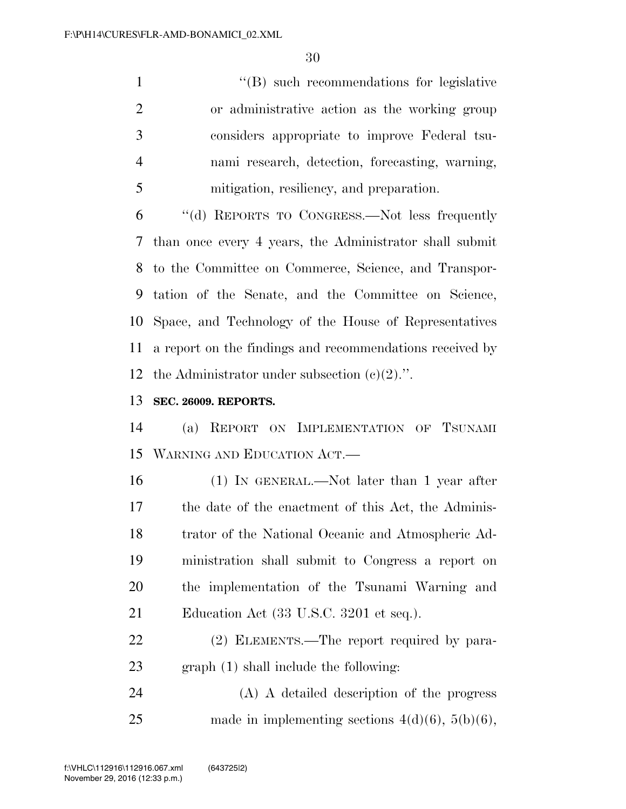1 ''(B) such recommendations for legislative or administrative action as the working group considers appropriate to improve Federal tsu- nami research, detection, forecasting, warning, mitigation, resiliency, and preparation.

 ''(d) REPORTS TO CONGRESS.—Not less frequently than once every 4 years, the Administrator shall submit to the Committee on Commerce, Science, and Transpor- tation of the Senate, and the Committee on Science, Space, and Technology of the House of Representatives a report on the findings and recommendations received by 12 the Administrator under subsection  $(c)(2)$ .".

### **SEC. 26009. REPORTS.**

 (a) REPORT ON IMPLEMENTATION OF TSUNAMI WARNING AND EDUCATION ACT.—

 (1) IN GENERAL.—Not later than 1 year after the date of the enactment of this Act, the Adminis- trator of the National Oceanic and Atmospheric Ad- ministration shall submit to Congress a report on the implementation of the Tsunami Warning and 21 Education Act (33 U.S.C. 3201 et seq.).

22 (2) ELEMENTS.—The report required by para-graph (1) shall include the following:

 (A) A detailed description of the progress 25 made in implementing sections  $4(d)(6)$ ,  $5(b)(6)$ ,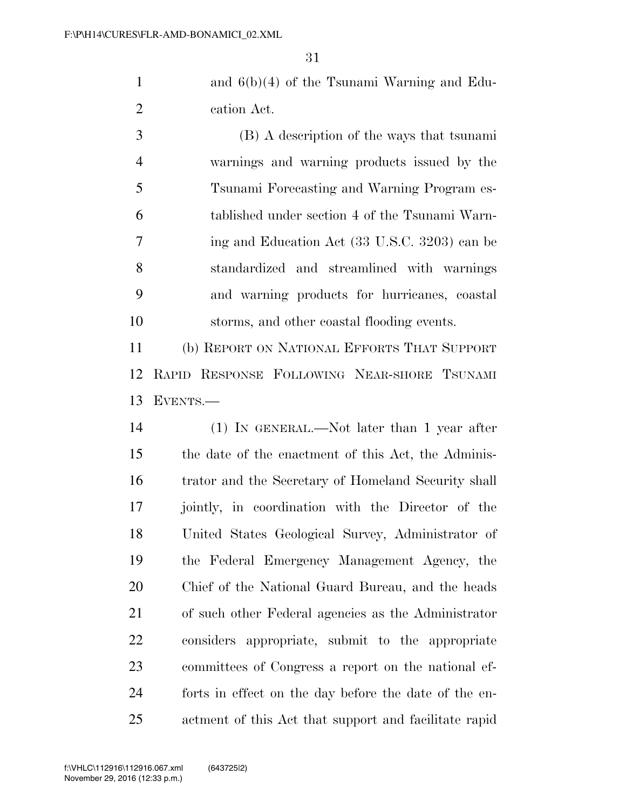and 6(b)(4) of the Tsunami Warning and Edu-cation Act.

 (B) A description of the ways that tsunami warnings and warning products issued by the Tsunami Forecasting and Warning Program es- tablished under section 4 of the Tsunami Warn- ing and Education Act (33 U.S.C. 3203) can be standardized and streamlined with warnings and warning products for hurricanes, coastal storms, and other coastal flooding events.

 (b) REPORT ON NATIONAL EFFORTS THAT SUPPORT RAPID RESPONSE FOLLOWING NEAR-SHORE TSUNAMI EVENTS.—

 (1) IN GENERAL.—Not later than 1 year after the date of the enactment of this Act, the Adminis- trator and the Secretary of Homeland Security shall jointly, in coordination with the Director of the United States Geological Survey, Administrator of the Federal Emergency Management Agency, the Chief of the National Guard Bureau, and the heads of such other Federal agencies as the Administrator considers appropriate, submit to the appropriate committees of Congress a report on the national ef- forts in effect on the day before the date of the en-actment of this Act that support and facilitate rapid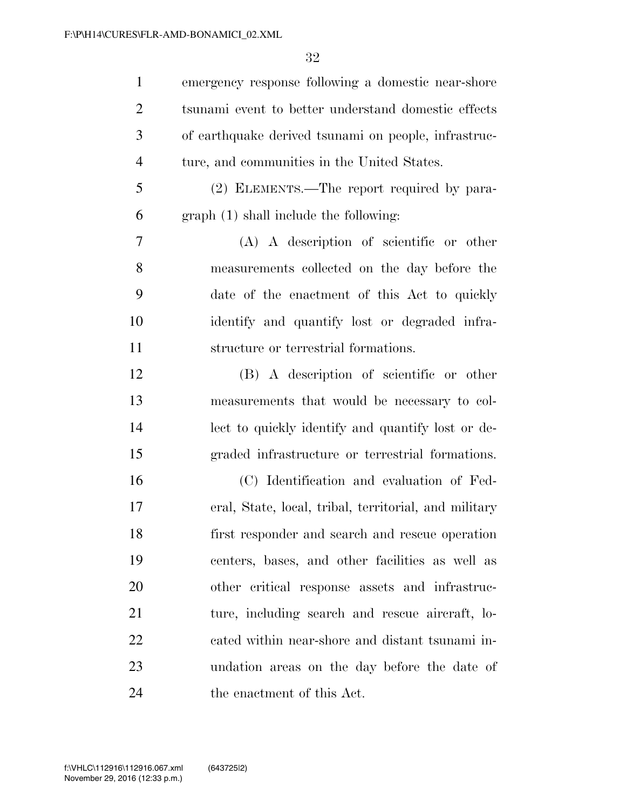| $\mathbf{1}$   | emergency response following a domestic near-shore    |
|----------------|-------------------------------------------------------|
| $\overline{2}$ | tsunami event to better understand domestic effects   |
| 3              | of earthquake derived tsunami on people, infrastruc-  |
| $\overline{4}$ | ture, and communities in the United States.           |
| 5              | (2) ELEMENTS.—The report required by para-            |
| 6              | graph (1) shall include the following:                |
| 7              | $(A)$ A description of scientific or other            |
| 8              | measurements collected on the day before the          |
| 9              | date of the enactment of this Act to quickly          |
| 10             | identify and quantify lost or degraded infra-         |
| 11             | structure or terrestrial formations.                  |
| 12             | (B) A description of scientific or other              |
| 13             | measurements that would be necessary to col-          |
| 14             | lect to quickly identify and quantify lost or de-     |
| 15             | graded infrastructure or terrestrial formations.      |
| 16             | (C) Identification and evaluation of Fed-             |
| 17             | eral, State, local, tribal, territorial, and military |
| 18             | first responder and search and rescue operation       |
| 19             | centers, bases, and other facilities as well as       |
| 20             | other critical response assets and infrastruc-        |
| 21             | ture, including search and rescue aircraft, lo-       |
| 22             | cated within near-shore and distant tsunami in-       |
| 23             | undation areas on the day before the date of          |
| 24             | the enactment of this Act.                            |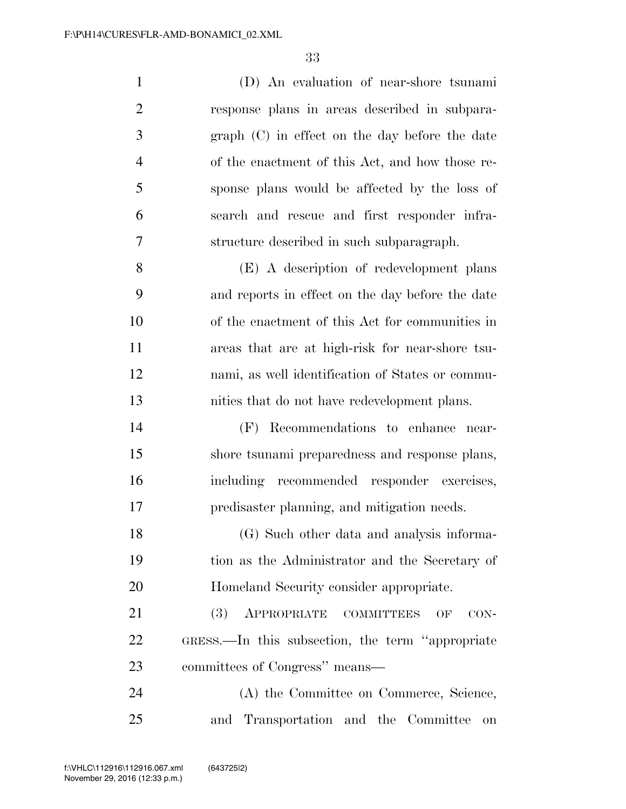(D) An evaluation of near-shore tsunami response plans in areas described in subpara- graph (C) in effect on the day before the date of the enactment of this Act, and how those re- sponse plans would be affected by the loss of search and rescue and first responder infra- structure described in such subparagraph. (E) A description of redevelopment plans and reports in effect on the day before the date

 of the enactment of this Act for communities in areas that are at high-risk for near-shore tsu- nami, as well identification of States or commu-nities that do not have redevelopment plans.

 (F) Recommendations to enhance near- shore tsunami preparedness and response plans, including recommended responder exercises, predisaster planning, and mitigation needs.

 (G) Such other data and analysis informa- tion as the Administrator and the Secretary of Homeland Security consider appropriate.

21 (3) APPROPRIATE COMMITTEES OF CON- GRESS.—In this subsection, the term ''appropriate committees of Congress'' means—

 (A) the Committee on Commerce, Science, and Transportation and the Committee on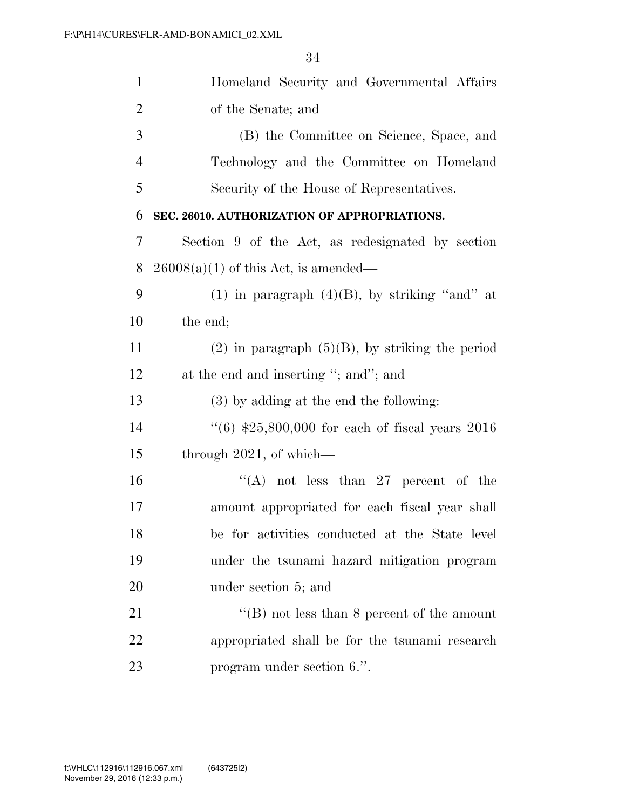| $\mathbf{1}$   | Homeland Security and Governmental Affairs           |
|----------------|------------------------------------------------------|
| $\overline{2}$ | of the Senate; and                                   |
| 3              | (B) the Committee on Science, Space, and             |
| $\overline{4}$ | Technology and the Committee on Homeland             |
| 5              | Security of the House of Representatives.            |
| 6              | SEC. 26010. AUTHORIZATION OF APPROPRIATIONS.         |
| 7              | Section 9 of the Act, as redesignated by section     |
| 8              | $26008(a)(1)$ of this Act, is amended—               |
| 9              | (1) in paragraph $(4)(B)$ , by striking "and" at     |
| 10             | the end;                                             |
| 11             | $(2)$ in paragraph $(5)(B)$ , by striking the period |
| 12             | at the end and inserting "; and"; and                |
| 13             | (3) by adding at the end the following:              |
| 14             | $``(6)$ \$25,800,000 for each of fiscal years 2016   |
| 15             | through $2021$ , of which—                           |
| 16             | "(A) not less than 27 percent of the                 |
| 17             | amount appropriated for each fiscal year shall       |
| 18             | be for activities conducted at the State level       |
| 19             | under the tsunami hazard mitigation program          |
| 20             | under section 5; and                                 |
| 21             | "(B) not less than 8 percent of the amount           |
| 22             | appropriated shall be for the tsunami research       |
| 23             | program under section 6.".                           |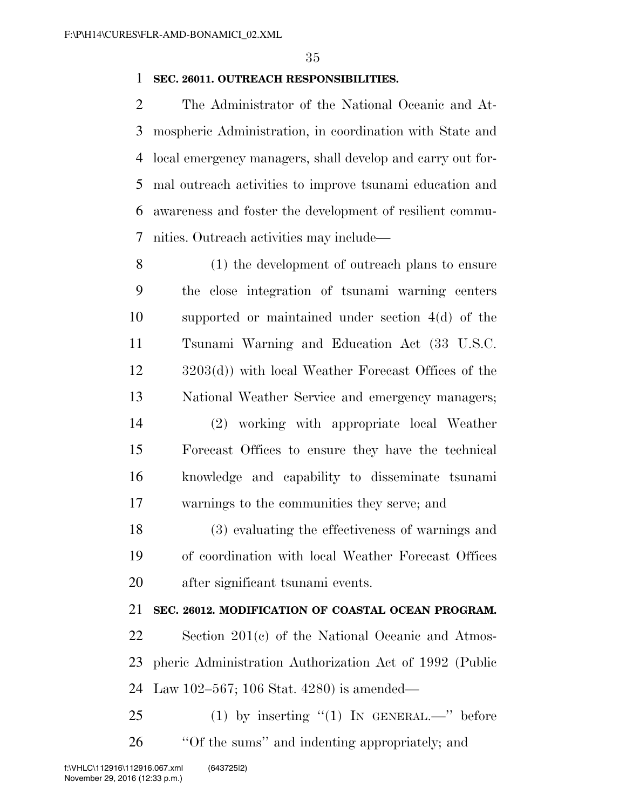### **SEC. 26011. OUTREACH RESPONSIBILITIES.**

 The Administrator of the National Oceanic and At- mospheric Administration, in coordination with State and local emergency managers, shall develop and carry out for- mal outreach activities to improve tsunami education and awareness and foster the development of resilient commu-nities. Outreach activities may include—

 (1) the development of outreach plans to ensure the close integration of tsunami warning centers supported or maintained under section 4(d) of the Tsunami Warning and Education Act (33 U.S.C. 3203(d)) with local Weather Forecast Offices of the National Weather Service and emergency managers; (2) working with appropriate local Weather Forecast Offices to ensure they have the technical knowledge and capability to disseminate tsunami warnings to the communities they serve; and

 (3) evaluating the effectiveness of warnings and of coordination with local Weather Forecast Offices after significant tsunami events.

### **SEC. 26012. MODIFICATION OF COASTAL OCEAN PROGRAM.**

 Section 201(c) of the National Oceanic and Atmos- pheric Administration Authorization Act of 1992 (Public Law 102–567; 106 Stat. 4280) is amended—

 (1) by inserting "(1) In GENERAL.—" before ''Of the sums'' and indenting appropriately; and